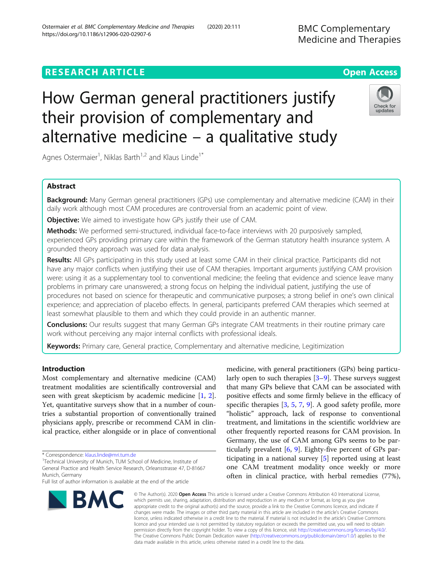## **RESEARCH ARTICLE Example 2014 12:30 The Contract of Contract ACCESS**

# How German general practitioners justify their provision of complementary and alternative medicine – a qualitative study

Agnes Ostermaier<sup>1</sup>, Niklas Barth<sup>1,2</sup> and Klaus Linde<sup>1\*</sup>

## Abstract

Background: Many German general practitioners (GPs) use complementary and alternative medicine (CAM) in their daily work although most CAM procedures are controversial from an academic point of view.

**Objective:** We aimed to investigate how GPs justify their use of CAM.

Methods: We performed semi-structured, individual face-to-face interviews with 20 purposively sampled, experienced GPs providing primary care within the framework of the German statutory health insurance system. A grounded theory approach was used for data analysis.

Results: All GPs participating in this study used at least some CAM in their clinical practice. Participants did not have any major conflicts when justifying their use of CAM therapies. Important arguments justifying CAM provision were: using it as a supplementary tool to conventional medicine; the feeling that evidence and science leave many problems in primary care unanswered; a strong focus on helping the individual patient, justifying the use of procedures not based on science for therapeutic and communicative purposes; a strong belief in one's own clinical experience; and appreciation of placebo effects. In general, participants preferred CAM therapies which seemed at least somewhat plausible to them and which they could provide in an authentic manner.

Conclusions: Our results suggest that many German GPs integrate CAM treatments in their routine primary care work without perceiving any major internal conflicts with professional ideals.

Keywords: Primary care, General practice, Complementary and alternative medicine, Legitimization

## Introduction

Most complementary and alternative medicine (CAM) treatment modalities are scientifically controversial and seen with great skepticism by academic medicine [[1](#page-6-0), [2](#page-6-0)]. Yet, quantitative surveys show that in a number of countries a substantial proportion of conventionally trained physicians apply, prescribe or recommend CAM in clinical practice, either alongside or in place of conventional

\* Correspondence: [klaus.linde@mri.tum.de](mailto:klaus.linde@mri.tum.de)<br><sup>1</sup>Technical University of Munich, TUM School of Medicine, Institute of General Practice and Health Service Research, Orleansstrasse 47, D-81667 Munich, Germany

changes were made. The images or other third party material in this article are included in the article's Creative Commons licence, unless indicated otherwise in a credit line to the material. If material is not included in the article's Creative Commons licence and your intended use is not permitted by statutory regulation or exceeds the permitted use, you will need to obtain permission directly from the copyright holder. To view a copy of this licence, visit [http://creativecommons.org/licenses/by/4.0/.](http://creativecommons.org/licenses/by/4.0/) The Creative Commons Public Domain Dedication waiver [\(http://creativecommons.org/publicdomain/zero/1.0/](http://creativecommons.org/publicdomain/zero/1.0/)) applies to the data made available in this article, unless otherwise stated in a credit line to the data.

© The Author(s), 2020 **Open Access** This article is licensed under a Creative Commons Attribution 4.0 International License, which permits use, sharing, adaptation, distribution and reproduction in any medium or format, as long as you give appropriate credit to the original author(s) and the source, provide a link to the Creative Commons licence, and indicate if

medicine, with general practitioners (GPs) being particularly open to such therapies [\[3](#page-6-0)–[9](#page-7-0)]. These surveys suggest that many GPs believe that CAM can be associated with positive effects and some firmly believe in the efficacy of specific therapies [\[3](#page-6-0), [5,](#page-7-0) [7,](#page-7-0) [9](#page-7-0)]. A good safety profile, more "holistic" approach, lack of response to conventional treatment, and limitations in the scientific worldview are other frequently reported reasons for CAM provision. In Germany, the use of CAM among GPs seems to be particularly prevalent [\[6](#page-7-0), [9\]](#page-7-0). Eighty-five percent of GPs participating in a national survey [\[5](#page-7-0)] reported using at least one CAM treatment modality once weekly or more often in clinical practice, with herbal remedies (77%),



BMC Complementary Medicine and Therapies





Full list of author information is available at the end of the article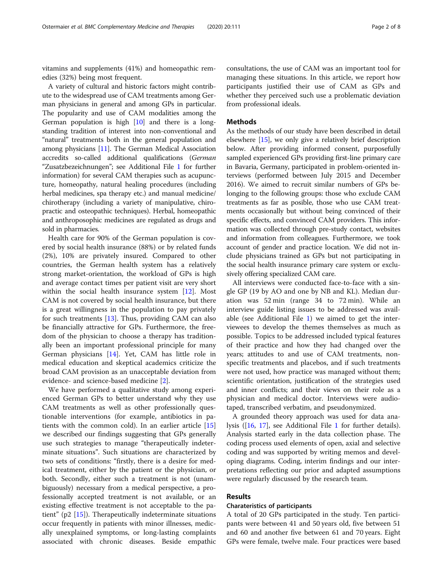vitamins and supplements (41%) and homeopathic remedies (32%) being most frequent.

A variety of cultural and historic factors might contribute to the widespread use of CAM treatments among German physicians in general and among GPs in particular. The popularity and use of CAM modalities among the German population is high [\[10](#page-7-0)] and there is a longstanding tradition of interest into non-conventional and "natural" treatments both in the general population and among physicians [\[11\]](#page-7-0). The German Medical Association accredits so-called additional qualifications (German "Zusatzbezeichnungen"; see Additional File [1](#page-6-0) for further information) for several CAM therapies such as acupuncture, homeopathy, natural healing procedures (including herbal medicines, spa therapy etc.) and manual medicine/ chirotherapy (including a variety of manipulative, chiropractic and osteopathic techniques). Herbal, homeopathic and anthroposophic medicines are regulated as drugs and sold in pharmacies.

Health care for 90% of the German population is covered by social health insurance (88%) or by related funds (2%), 10% are privately insured. Compared to other countries, the German health system has a relatively strong market-orientation, the workload of GPs is high and average contact times per patient visit are very short within the social health insurance system [\[12](#page-7-0)]. Most CAM is not covered by social health insurance, but there is a great willingness in the population to pay privately for such treatments  $[13]$ . Thus, providing CAM can also be financially attractive for GPs. Furthermore, the freedom of the physician to choose a therapy has traditionally been an important professional principle for many German physicians [[14](#page-7-0)]. Yet, CAM has little role in medical education and skeptical academics criticize the broad CAM provision as an unacceptable deviation from evidence- and science-based medicine [\[2](#page-6-0)].

We have performed a qualitative study among experienced German GPs to better understand why they use CAM treatments as well as other professionally questionable interventions (for example, antibiotics in patients with the common cold). In an earlier article [[15](#page-7-0)] we described our findings suggesting that GPs generally use such strategies to manage "therapeutically indeterminate situations". Such situations are characterized by two sets of conditions: "firstly, there is a desire for medical treatment, either by the patient or the physician, or both. Secondly, either such a treatment is not (unambiguously) necessary from a medical perspective, a professionally accepted treatment is not available, or an existing effective treatment is not acceptable to the patient" (p2 [\[15](#page-7-0)]). Therapeutically indeterminate situations occur frequently in patients with minor illnesses, medically unexplained symptoms, or long-lasting complaints associated with chronic diseases. Beside empathic consultations, the use of CAM was an important tool for managing these situations. In this article, we report how participants justified their use of CAM as GPs and whether they perceived such use a problematic deviation from professional ideals.

## **Methods**

As the methods of our study have been described in detail elsewhere [[15](#page-7-0)], we only give a relatively brief description below. After providing informed consent, purposefully sampled experienced GPs providing first-line primary care in Bavaria, Germany, participated in problem-oriented interviews (performed between July 2015 and December 2016). We aimed to recruit similar numbers of GPs belonging to the following groups: those who exclude CAM treatments as far as posible, those who use CAM treatments occasionally but without being convinced of their specific effects, and convinced CAM providers. This information was collected through pre-study contact, websites and information from colleagues. Furthermore, we took account of gender and practice location. We did not include physicians trained as GPs but not participating in the social health insurance primary care system or exclusively offering specialized CAM care.

All interviews were conducted face-to-face with a single GP (19 by AO and one by NB and KL). Median duration was 52 min (range 34 to 72 min). While an interview guide listing issues to be addressed was available (see Additional File [1](#page-6-0)) we aimed to get the interviewees to develop the themes themselves as much as possible. Topics to be addressed included typical features of their practice and how they had changed over the years; attitudes to and use of CAM treatments, nonspecific treatments and placebos, and if such treatments were not used, how practice was managed without them; scientific orientation, justification of the strategies used and inner conflicts; and their views on their role as a physician and medical doctor. Interviews were audiotaped, transcribed verbatim, and pseudonymized.

A grounded theory approach was used for data analysis ([\[16](#page-7-0), [17](#page-7-0)], see Additional File [1](#page-6-0) for further details). Analysis started early in the data collection phase. The coding process used elements of open, axial and selective coding and was supported by writing memos and developing diagrams. Coding, interim findings and our interpretations reflecting our prior and adapted assumptions were regularly discussed by the research team.

#### Results

## Charateristics of participants

A total of 20 GPs participated in the study. Ten participants were between 41 and 50 years old, five between 51 and 60 and another five between 61 and 70 years. Eight GPs were female, twelve male. Four practices were based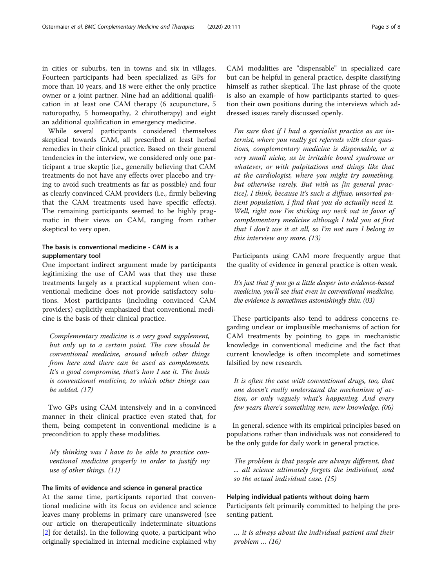in cities or suburbs, ten in towns and six in villages. Fourteen participants had been specialized as GPs for more than 10 years, and 18 were either the only practice owner or a joint partner. Nine had an additional qualification in at least one CAM therapy (6 acupuncture, 5 naturopathy, 5 homeopathy, 2 chirotherapy) and eight an additional qualification in emergency medicine.

While several participants considered themselves skeptical towards CAM, all prescribed at least herbal remedies in their clinical practice. Based on their general tendencies in the interview, we considered only one participant a true skeptic (i.e., generally believing that CAM treatments do not have any effects over placebo and trying to avoid such treatments as far as possible) and four as clearly convinced CAM providers (i.e., firmly believing that the CAM treatments used have specific effects). The remaining participants seemed to be highly pragmatic in their views on CAM, ranging from rather skeptical to very open.

## The basis is conventional medicine - CAM is a supplementary tool

One important indirect argument made by participants legitimizing the use of CAM was that they use these treatments largely as a practical supplement when conventional medicine does not provide satisfactory solutions. Most participants (including convinced CAM providers) explicitly emphasized that conventional medicine is the basis of their clinical practice.

Complementary medicine is a very good supplement, but only up to a certain point. The core should be conventional medicine, around which other things from here and there can be used as complements. It's a good compromise, that's how I see it. The basis is conventional medicine, to which other things can be added. (17)

Two GPs using CAM intensively and in a convinced manner in their clinical practice even stated that, for them, being competent in conventional medicine is a precondition to apply these modalities.

My thinking was I have to be able to practice conventional medicine properly in order to justify my use of other things. (11)

#### The limits of evidence and science in general practice

At the same time, participants reported that conventional medicine with its focus on evidence and science leaves many problems in primary care unanswered (see our article on therapeutically indeterminate situations [[2\]](#page-6-0) for details). In the following quote, a participant who originally specialized in internal medicine explained why

CAM modalities are "dispensable" in specialized care but can be helpful in general practice, despite classifying himself as rather skeptical. The last phrase of the quote is also an example of how participants started to question their own positions during the interviews which addressed issues rarely discussed openly.

I'm sure that if I had a specialist practice as an internist, where you really get referrals with clear questions, complementary medicine is dispensable, or a very small niche, as in irritable bowel syndrome or whatever, or with palpitations and things like that at the cardiologist, where you might try something, but otherwise rarely. But with us *fin general prac*tice], I think, because it's such a diffuse, unsorted patient population, I find that you do actually need it. Well, right now I'm sticking my neck out in favor of complementary medicine although I told you at first that I don't use it at all, so I'm not sure I belong in this interview any more. (13)

Participants using CAM more frequently argue that the quality of evidence in general practice is often weak.

It's just that if you go a little deeper into evidence-based medicine, you'll see that even in conventional medicine, the evidence is sometimes astonishingly thin. (03)

These participants also tend to address concerns regarding unclear or implausible mechanisms of action for CAM treatments by pointing to gaps in mechanistic knowledge in conventional medicine and the fact that current knowledge is often incomplete and sometimes falsified by new research.

It is often the case with conventional drugs, too, that one doesn't really understand the mechanism of action, or only vaguely what's happening. And every few years there's something new, new knowledge. (06)

In general, science with its empirical principles based on populations rather than individuals was not considered to be the only guide for daily work in general practice.

The problem is that people are always different, that ... all science ultimately forgets the individual, and so the actual individual case. (15)

## Helping individual patients without doing harm Participants felt primarily committed to helping the presenting patient.

… it is always about the individual patient and their problem … (16)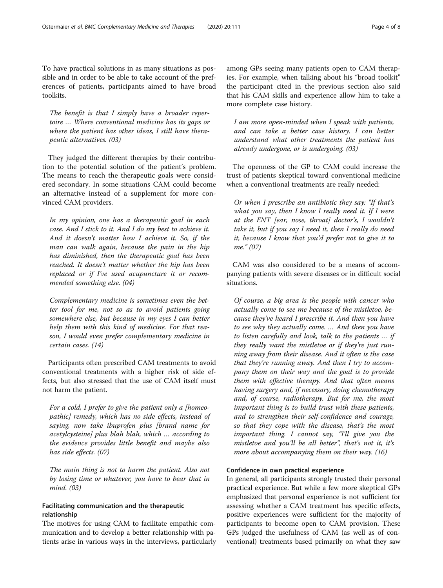To have practical solutions in as many situations as possible and in order to be able to take account of the preferences of patients, participants aimed to have broad toolkits.

The benefit is that I simply have a broader repertoire … Where conventional medicine has its gaps or where the patient has other ideas, I still have therapeutic alternatives. (03)

They judged the different therapies by their contribution to the potential solution of the patient's problem. The means to reach the therapeutic goals were considered secondary. In some situations CAM could become an alternative instead of a supplement for more convinced CAM providers.

In my opinion, one has a therapeutic goal in each case. And I stick to it. And I do my best to achieve it. And it doesn't matter how I achieve it. So, if the man can walk again, because the pain in the hip has diminished, then the therapeutic goal has been reached. It doesn't matter whether the hip has been replaced or if I've used acupuncture it or recommended something else. (04)

Complementary medicine is sometimes even the better tool for me, not so as to avoid patients going somewhere else, but because in my eyes I can better help them with this kind of medicine. For that reason, I would even prefer complementary medicine in certain cases. (14)

Participants often prescribed CAM treatments to avoid conventional treatments with a higher risk of side effects, but also stressed that the use of CAM itself must not harm the patient.

For a cold, I prefer to give the patient only a [homeopathic] remedy, which has no side effects, instead of saying, now take ibuprofen plus [brand name for acetylcysteine] plus blah blah, which … according to the evidence provides little benefit and maybe also has side effects. (07)

The main thing is not to harm the patient. Also not by losing time or whatever, you have to bear that in mind. (03)

## Facilitating communication and the therapeutic relationship

The motives for using CAM to facilitate empathic communication and to develop a better relationship with patients arise in various ways in the interviews, particularly among GPs seeing many patients open to CAM therapies. For example, when talking about his "broad toolkit" the participant cited in the previous section also said that his CAM skills and experience allow him to take a more complete case history.

I am more open-minded when I speak with patients, and can take a better case history. I can better understand what other treatments the patient has already undergone, or is undergoing. (03)

The openness of the GP to CAM could increase the trust of patients skeptical toward conventional medicine when a conventional treatments are really needed:

Or when I prescribe an antibiotic they say: "If that's what you say, then  $I$  know  $I$  really need it. If  $I$  were at the ENT [ear, nose, throat] doctor's, I wouldn't take it, but if you say I need it, then I really do need it, because I know that you'd prefer not to give it to me." (07)

CAM was also considered to be a means of accompanying patients with severe diseases or in difficult social situations.

Of course, a big area is the people with cancer who actually come to see me because of the mistletoe, because they've heard I prescribe it. And then you have to see why they actually come. … And then you have to listen carefully and look, talk to the patients … if they really want the mistletoe or if they're just running away from their disease. And it often is the case that they're running away. And then I try to accompany them on their way and the goal is to provide them with effective therapy. And that often means having surgery and, if necessary, doing chemotherapy and, of course, radiotherapy. But for me, the most important thing is to build trust with these patients, and to strengthen their self-confidence and courage, so that they cope with the disease, that's the most important thing. I cannot say, "I'll give you the mistletoe and you'll be all better", that's not it, it's more about accompanying them on their way. (16)

#### Confidence in own practical experience

In general, all participants strongly trusted their personal practical experience. But while a few more skeptical GPs emphasized that personal experience is not sufficient for assessing whether a CAM treatment has specific effects, positive experiences were sufficient for the majority of participants to become open to CAM provision. These GPs judged the usefulness of CAM (as well as of conventional) treatments based primarily on what they saw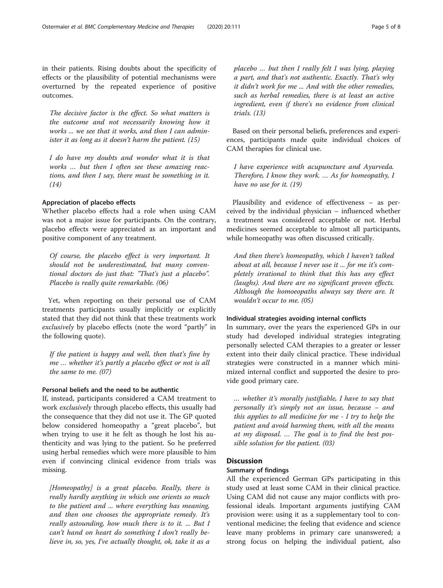in their patients. Rising doubts about the specificity of effects or the plausibility of potential mechanisms were overturned by the repeated experience of positive outcomes.

The decisive factor is the effect. So what matters is the outcome and not necessarily knowing how it works ... we see that it works, and then I can administer it as long as it doesn't harm the patient. (15)

I do have my doubts and wonder what it is that works ... but then I often see these amazing reactions, and then I say, there must be something in it. (14)

## Appreciation of placebo effects

Whether placebo effects had a role when using CAM was not a major issue for participants. On the contrary, placebo effects were appreciated as an important and positive component of any treatment.

Of course, the placebo effect is very important. It should not be underestimated, but many conventional doctors do just that: "That's just a placebo". Placebo is really quite remarkable. (06)

Yet, when reporting on their personal use of CAM treatments participants usually implicitly or explicitly stated that they did not think that these treatments work exclusively by placebo effects (note the word "partly" in the following quote).

If the patient is happy and well, then that's fine by me … whether it's partly a placebo effect or not is all the same to me. (07)

## Personal beliefs and the need to be authentic

If, instead, participants considered a CAM treatment to work exclusively through placebo effects, this usually had the consequence that they did not use it. The GP quoted below considered homeopathy a "great placebo", but when trying to use it he felt as though he lost his authenticity and was lying to the patient. So he preferred using herbal remedies which were more plausible to him even if convincing clinical evidence from trials was missing.

[Homeopathy] is a great placebo. Really, there is really hardly anything in which one orients so much to the patient and ... where everything has meaning, and then one chooses the appropriate remedy. It's really astounding, how much there is to it. ... But I can't hand on heart do something I don't really believe in, so, yes, I've actually thought, ok, take it as a

placebo … but then I really felt I was lying, playing a part, and that's not authentic. Exactly. That's why it didn't work for me ... And with the other remedies, such as herbal remedies, there is at least an active ingredient, even if there's no evidence from clinical trials. (13)

Based on their personal beliefs, preferences and experiences, participants made quite individual choices of CAM therapies for clinical use.

I have experience with acupuncture and Ayurveda. Therefore, I know they work. … As for homeopathy, I have no use for it. (19)

Plausibility and evidence of effectiveness – as perceived by the individual physician – influenced whether a treatment was considered acceptable or not. Herbal medicines seemed acceptable to almost all participants, while homeopathy was often discussed critically.

And then there's homeopathy, which I haven't talked about at all, because I never use it ... for me it's completely irrational to think that this has any effect (laughs). And there are no significant proven effects. Although the homoeopaths always say there are. It wouldn't occur to me. (05)

#### Individual strategies avoiding internal conflicts

In summary, over the years the experienced GPs in our study had developed individual strategies integrating personally selected CAM therapies to a greater or lesser extent into their daily clinical practice. These individual strategies were constructed in a manner which minimized internal conflict and supported the desire to provide good primary care.

… whether it's morally justifiable, I have to say that personally it's simply not an issue, because – and this applies to all medicine for me - I try to help the patient and avoid harming them, with all the means at my disposal. … The goal is to find the best possible solution for the patient. (03)

## **Discussion**

#### Summary of findings

All the experienced German GPs participating in this study used at least some CAM in their clinical practice. Using CAM did not cause any major conflicts with professional ideals. Important arguments justifying CAM provision were: using it as a supplementary tool to conventional medicine; the feeling that evidence and science leave many problems in primary care unanswered; a strong focus on helping the individual patient, also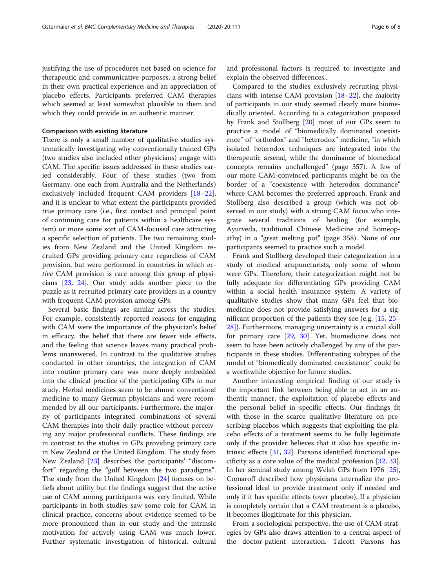justifying the use of procedures not based on science for therapeutic and communicative purposes; a strong belief in their own practical experience; and an appreciation of placebo effects. Participants preferred CAM therapies which seemed at least somewhat plausible to them and which they could provide in an authentic manner.

#### Comparison with existing literature

There is only a small number of qualitative studies systematically investigating why conventionally trained GPs (two studies also included other physicians) engage with CAM. The specific issues addressed in these studies varied considerably. Four of these studies (two from Germany, one each from Australia and the Netherlands) exclusively included frequent CAM providers [[18](#page-7-0)–[22](#page-7-0)], and it is unclear to what extent the participants provided true primary care (i.e., first contact and principal point of continuing care for patients within a healthcare system) or more some sort of CAM-focused care attracting a specific selection of patients. The two remaining studies from New Zealand and the United Kingdom recruited GPs providing primary care regardless of CAM provision, but were performed in countries in which active CAM provision is rare among this group of physicians [\[23](#page-7-0), [24\]](#page-7-0). Our study adds another piece to the puzzle as it recruited primary care providers in a country with frequent CAM provision among GPs.

Several basic findings are similar across the studies. For example, consistently reported reasons for engaging with CAM were the importance of the physician's belief in efficacy, the belief that there are fewer side effects, and the feeling that science leaves many practical problems unanswered. In contrast to the qualitative studies conducted in other countries, the integration of CAM into routine primary care was more deeply embedded into the clinical practice of the participating GPs in our study. Herbal medicines seem to be almost conventional medicine to many German physicians and were recommended by all our participants. Furthermore, the majority of participants integrated combinations of several CAM therapies into their daily practice without perceiving any major professional conflicts. These findings are in contrast to the studies in GPs providing primary care in New Zealand or the United Kingdom. The study from New Zealand [\[23\]](#page-7-0) describes the participants' "discomfort" regarding the "gulf between the two paradigms". The study from the United Kingdom [[24\]](#page-7-0) focuses on beliefs about utility but the findings suggest that the active use of CAM among participants was very limited. While participants in both studies saw some role for CAM in clinical practice, concerns about evidence seemed to be more pronounced than in our study and the intrinsic motivation for actively using CAM was much lower. Further systematic investigation of historical, cultural and professional factors is required to investigate and explain the observed differences..

Compared to the studies exclusively recruiting physicians with intense CAM provision  $[18–22]$  $[18–22]$  $[18–22]$  $[18–22]$  $[18–22]$ , the majority of participants in our study seemed clearly more biomedically oriented. According to a categorization proposed by Frank and Stollberg [\[20](#page-7-0)] most of our GPs seem to practice a model of "biomedically dominated coexistence" of "orthodox" and "heterodox" medicine, "in which isolated heterodox techniques are integrated into the therapeutic arsenal, while the dominance of biomedical concepts remains unchallenged" (page 357). A few of our more CAM-convinced participants might be on the border of a "coexistence with heterodox dominance" where CAM becomes the preferred approach. Frank and Stollberg also described a group (which was not observed in our study) with a strong CAM focus who integrate several traditions of healing (for example, Ayurveda, traditional Chinese Medicine and homeopathy) in a "great melting pot" (page 358). None of our participants seemed to practice such a model.

Frank and Stollberg developed their categorization in a study of medical acupuncturists, only some of whom were GPs. Therefore, their categorization might not be fully adequate for differentiating GPs providing CAM within a social health insurance system. A variety of qualitative studies show that many GPs feel that biomedicine does not provide satisfying answers for a significant proportion of the patients they see (e.g. [[15](#page-7-0), [25](#page-7-0)– [28\]](#page-7-0)). Furthermore, managing uncertainty is a crucial skill for primary care [\[29](#page-7-0), [30\]](#page-7-0). Yet, biomedicine does not seem to have been actively challenged by any of the participants in these studies. Differentiating subtypes of the model of "biomedically dominated coexistence" could be a worthwhile objective for future studies.

Another interesting empirical finding of our study is the important link between being able to act in an authentic manner, the exploitation of placebo effects and the personal belief in specific effects. Our findings fit with those in the scarce qualitative literature on prescribing placebos which suggests that exploiting the placebo effects of a treatment seems to be fully legitimate only if the provider believes that it also has specific intrinsic effects [\[31,](#page-7-0) [32](#page-7-0)]. Parsons identified functional specificity as a core value of the medical profession [\[32](#page-7-0), [33](#page-7-0)]. In her seminal study among Welsh GPs from 1976 [\[25](#page-7-0)], Comaroff described how physicians internalize the professional ideal to provide treatment only if needed and only if it has specific effects (over placebo). If a physician is completely certain that a CAM treatment is a placebo, it becomes illegitimate for this physician.

From a sociological perspective, the use of CAM strategies by GPs also draws attention to a central aspect of the doctor-patient interaction. Talcott Parsons has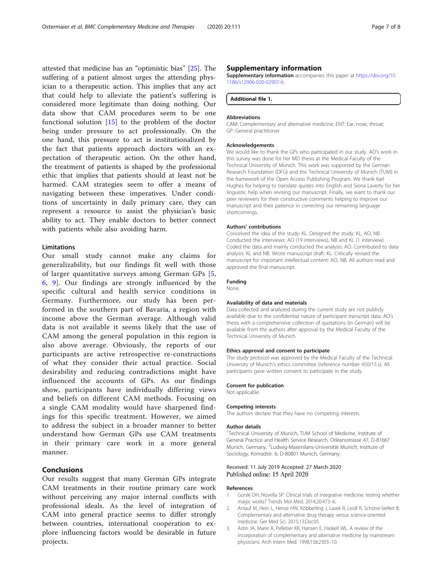<span id="page-6-0"></span>attested that medicine has an "optimistic bias" [[25\]](#page-7-0). The suffering of a patient almost urges the attending physician to a therapeutic action. This implies that any act that could help to alleviate the patient's suffering is considered more legitimate than doing nothing. Our data show that CAM procedures seem to be one functional solution [[15\]](#page-7-0) to the problem of the doctor being under pressure to act professionally. On the one hand, this pressure to act is institutionalized by the fact that patients approach doctors with an expectation of therapeutic action. On the other hand, the treatment of patients is shaped by the professional ethic that implies that patients should at least not be harmed. CAM strategies seem to offer a means of navigating between these imperatives. Under conditions of uncertainty in daily primary care, they can represent a resource to assist the physician's basic ability to act. They enable doctors to better connect with patients while also avoiding harm.

## Limitations

Our small study cannot make any claims for generalizability, but our findings fit well with those of larger quantitative surveys among German GPs [\[5](#page-7-0), [6,](#page-7-0) [9](#page-7-0)]. Our findings are strongly influenced by the specific cultural and health service conditions in Germany. Furthermore, our study has been performed in the southern part of Bavaria, a region with income above the German average. Although valid data is not available it seems likely that the use of CAM among the general population in this region is also above average. Obviously, the reports of our participants are active retrospective re-constructions of what they consider their actual practice. Social desirability and reducing contradictions might have influenced the accounts of GPs. As our findings show, participants have individually differing views and beliefs on different CAM methods. Focusing on a single CAM modality would have sharpened findings for this specific treatment. However, we aimed to address the subject in a broader manner to better understand how German GPs use CAM treatments in their primary care work in a more general manner.

## Conclusions

Our results suggest that many German GPs integrate CAM treatments in their routine primary care work without perceiving any major internal conflicts with professional ideals. As the level of integration of CAM into general practice seems to differ strongly between countries, international cooperation to explore influencing factors would be desirable in future projects.

#### Supplementary information

Supplementary information accompanies this paper at [https://doi.org/10.](https://doi.org/10.1186/s12906-020-02907-6) [1186/s12906-020-02907-6](https://doi.org/10.1186/s12906-020-02907-6).

Additional file 1.

#### Abbreviations

CAM: Complementary and alternative medicine; ENT: Ear, nose, throat; GP: General practitioner

#### Acknowledgements

We would like to thank the GPs who participated in our study. AO's work in this survey was done for her MD thesis at the Medical Faculty of the Technical University of Munich. This work was supported by the German Research Foundation (DFG) and the Technical University of Munich (TUM) in the framework of the Open Access Publishing Program. We thank Karl Hughes for helping to translate quotes into English and Siona Laverty for her linguistic help when revising our manuscript. Finally, we want to thank our peer reviewers for their constructive comments helping to improve our manuscript and their patience in correcting our remaining language shortcomings.

#### Authors' contributions

Conceived the idea of the study: KL. Designed the study: KL, AO, NB. Conducted the interviews: AO (19 interviews), NB and KL (1 interview). Coded the data and mainly conducted the analysis: AO. Contributed to data analysis: KL and NB. Wrote manuscript draft: KL. Critically revised the manuscript for important intellectual content: AO, NB. All authors read and approved the final manuscript.

#### Funding

None.

#### Availability of data and materials

Data collected and analyzed during the current study are not publicly available due to the confidential nature of participant transcript data. AO's thesis with a comprehensive collection of quotations (in German) will be available from the authors after approval by the Medical Faculty of the Technical University of Munich.

#### Ethics approval and consent to participate

The study protocol was approved by the Medical Faculty of the Technical University of Munich's ethics committee (reference number 450/15 s). All participants gave written consent to participate in the study.

#### Consent for publication

Not applicable.

#### Competing interests

The authors declare that they have no competing interests.

#### Author details

<sup>1</sup>Technical University of Munich, TUM School of Medicine, Institute of General Practice and Health Service Research, Orleansstrasse 47, D-81667 Munich, Germany. <sup>2</sup> Ludwig-Maximilans-Universität Munich, Institute of Sociology, Konradstr. 6, D-80801 Munich, Germany.

#### Received: 11 July 2019 Accepted: 27 March 2020 Published online: 15 April 2020

#### References

- 1. Gorski DH, Novella SP. Clinical trials of integrative medicine: testing whether magic works? Trends Mol Med. 2014;20:473–6.
- 2. Anlauf M, Hein L, Hense HW, Köbberling J, Lasek R, Leidl R, Schöne-Seifert B. Complementary and alternative drug therapy versus science-oriented medicine. Ger Med Sci. 2015;13:Doc05.
- 3. Astin JA, Marie A, Pelletier KR, Hansen E, Haskell WL. A review of the incorporation of complementary and alternative medicine by mainstream physicians. Arch Intern Med. 1998;158:2303–10.